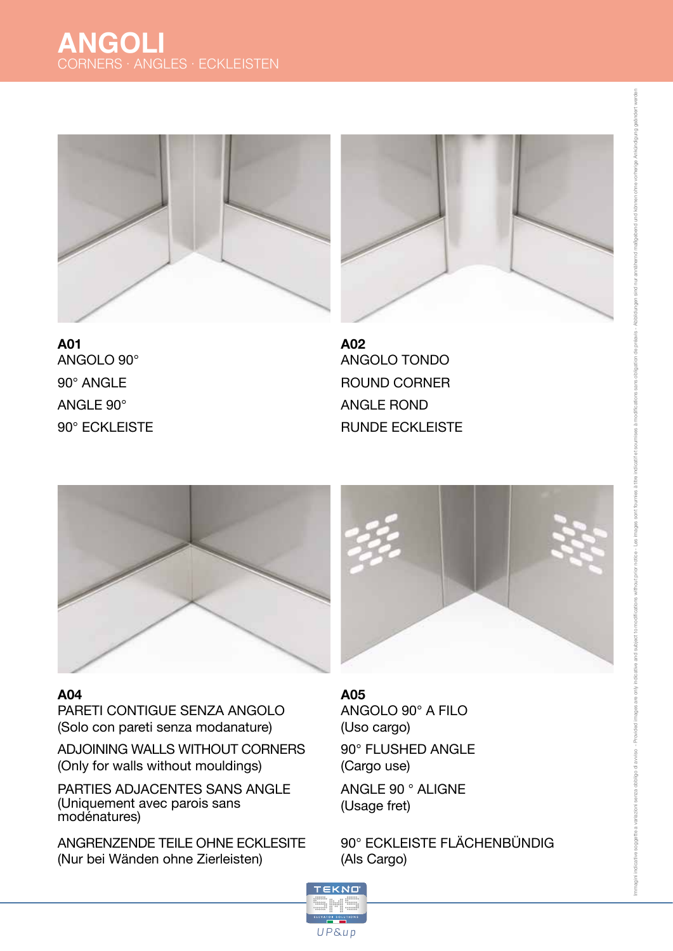



**A01** ANGOLO 90° 90° ANGLE ANGLE 90° 90° ECKLEISTE ROUND CORNER ANGLE ROND RUNDE ECKLEISTE **A02** ANGOLO TONDO



### **A04**

PARETI CONTIGUE SENZA ANGOLO (Solo con pareti senza modanature)

ADJOINING WALLS WITHOUT CORNERS (Only for walls without mouldings)

PARTIES ADJACENTES SANS ANGLE (Uniquement avec parois sans modénatures)

ANGRENZENDE TEILE OHNE ECKLESITE (Nur bei Wänden ohne Zierleisten)

## **A05** ANGOLO 90° A FILO (Uso cargo)

90° FLUSHED ANGLE (Cargo use)

ANGLE 90 ° ALIGNE (Usage fret)

90° ECKLEISTE FLÄCHENBÜNDIG (Als Cargo)